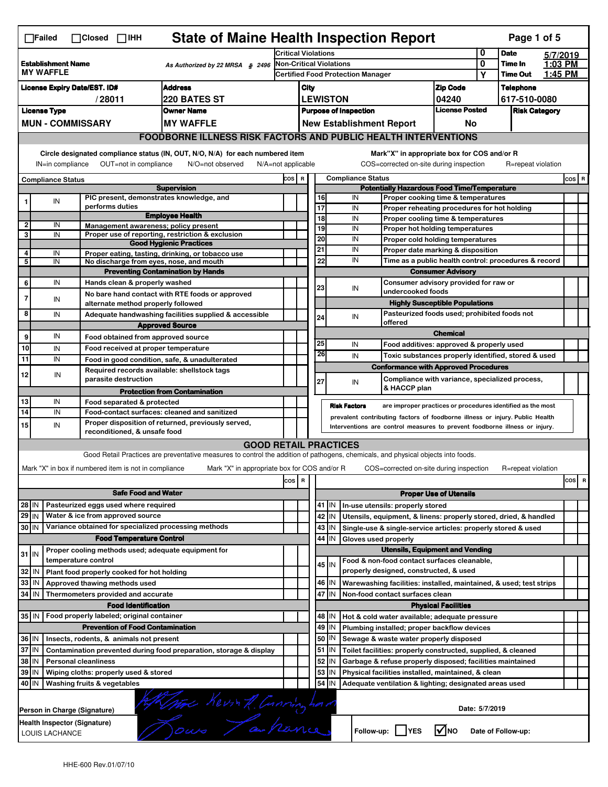|                                          | <b>State of Maine Health Inspection Report</b><br>Page 1 of 5<br>$\Box$ Failed<br>$\Box$ Closed $\Box$ IHH                                                                                                                                                                            |                                                       |                                                                                                                                   |                                          |      |          |                                |                                                                              |                       |                                                                       |                      |                               |                     |          |
|------------------------------------------|---------------------------------------------------------------------------------------------------------------------------------------------------------------------------------------------------------------------------------------------------------------------------------------|-------------------------------------------------------|-----------------------------------------------------------------------------------------------------------------------------------|------------------------------------------|------|----------|--------------------------------|------------------------------------------------------------------------------|-----------------------|-----------------------------------------------------------------------|----------------------|-------------------------------|---------------------|----------|
|                                          | <b>Establishment Name</b>                                                                                                                                                                                                                                                             |                                                       | As Authorized by 22 MRSA § 2496                                                                                                   | <b>Critical Violations</b>               |      |          | <b>Non-Critical Violations</b> |                                                                              |                       |                                                                       | 0<br>0               | <b>Date</b><br><b>Time In</b> | 5/7/2019<br>1:03 PM |          |
|                                          | <b>MY WAFFLE</b>                                                                                                                                                                                                                                                                      |                                                       |                                                                                                                                   | <b>Certified Food Protection Manager</b> |      |          |                                |                                                                              |                       |                                                                       | Y                    | <b>Time Out</b>               | 1:45 PM             |          |
|                                          | <b>Address</b><br><b>License Expiry Date/EST. ID#</b>                                                                                                                                                                                                                                 |                                                       |                                                                                                                                   |                                          | City |          |                                |                                                                              |                       | <b>Zip Code</b>                                                       |                      | <b>Telephone</b>              |                     |          |
|                                          | 220 BATES ST<br>/28011                                                                                                                                                                                                                                                                |                                                       |                                                                                                                                   |                                          |      |          | <b>LEWISTON</b>                |                                                                              |                       | 04240                                                                 |                      | 617-510-0080                  |                     |          |
| <b>License Type</b><br><b>Owner Name</b> |                                                                                                                                                                                                                                                                                       |                                                       |                                                                                                                                   |                                          |      |          | <b>Purpose of Inspection</b>   |                                                                              | <b>License Posted</b> |                                                                       | <b>Risk Category</b> |                               |                     |          |
|                                          |                                                                                                                                                                                                                                                                                       | <b>MUN-COMMISSARY</b>                                 | <b>MY WAFFLE</b>                                                                                                                  |                                          |      |          |                                | <b>New Establishment Report</b>                                              |                       | No                                                                    |                      |                               |                     |          |
|                                          | <b>FOODBORNE ILLNESS RISK FACTORS AND PUBLIC HEALTH INTERVENTIONS</b>                                                                                                                                                                                                                 |                                                       |                                                                                                                                   |                                          |      |          |                                |                                                                              |                       |                                                                       |                      |                               |                     |          |
|                                          | Circle designated compliance status (IN, OUT, N/O, N/A) for each numbered item<br>Mark"X" in appropriate box for COS and/or R<br>OUT=not in compliance<br>COS=corrected on-site during inspection<br>IN=in compliance<br>N/O=not observed<br>N/A=not applicable<br>R=repeat violation |                                                       |                                                                                                                                   |                                          |      |          |                                |                                                                              |                       |                                                                       |                      |                               |                     |          |
|                                          | Compliance Status                                                                                                                                                                                                                                                                     |                                                       |                                                                                                                                   | COS R                                    |      |          |                                | <b>Compliance Status</b>                                                     |                       |                                                                       |                      |                               |                     | $cos$ R  |
|                                          |                                                                                                                                                                                                                                                                                       |                                                       | <b>Supervision</b>                                                                                                                |                                          |      |          |                                | <b>Potentially Hazardous Food Time/Temperature</b>                           |                       |                                                                       |                      |                               |                     |          |
| 1                                        | IN                                                                                                                                                                                                                                                                                    | PIC present, demonstrates knowledge, and              |                                                                                                                                   |                                          |      | 16       |                                | IN                                                                           |                       | Proper cooking time & temperatures                                    |                      |                               |                     |          |
|                                          |                                                                                                                                                                                                                                                                                       | performs duties                                       | <b>Employee Health</b>                                                                                                            |                                          |      | 17<br>18 |                                | IN<br>IN                                                                     |                       | Proper reheating procedures for hot holding                           |                      |                               |                     |          |
| 2                                        | IN                                                                                                                                                                                                                                                                                    | Management awareness; policy present                  |                                                                                                                                   |                                          |      | 19       |                                | IN                                                                           |                       | Proper cooling time & temperatures<br>Proper hot holding temperatures |                      |                               |                     |          |
| 3                                        | IN                                                                                                                                                                                                                                                                                    |                                                       | Proper use of reporting, restriction & exclusion                                                                                  |                                          |      | 20       |                                | IN                                                                           |                       | Proper cold holding temperatures                                      |                      |                               |                     |          |
|                                          |                                                                                                                                                                                                                                                                                       |                                                       | <b>Good Hygienic Practices</b>                                                                                                    |                                          |      | 21       |                                | IN                                                                           |                       | Proper date marking & disposition                                     |                      |                               |                     |          |
| 4<br>5                                   | IN<br>IN                                                                                                                                                                                                                                                                              | No discharge from eyes, nose, and mouth               | Proper eating, tasting, drinking, or tobacco use                                                                                  |                                          |      | 22       |                                | IN                                                                           |                       | Time as a public health control: procedures & record                  |                      |                               |                     |          |
|                                          |                                                                                                                                                                                                                                                                                       |                                                       | <b>Preventing Contamination by Hands</b>                                                                                          |                                          |      |          |                                |                                                                              |                       | <b>Consumer Advisory</b>                                              |                      |                               |                     |          |
| 6                                        | IN                                                                                                                                                                                                                                                                                    | Hands clean & properly washed                         |                                                                                                                                   |                                          |      |          |                                |                                                                              |                       | Consumer advisory provided for raw or                                 |                      |                               |                     |          |
|                                          |                                                                                                                                                                                                                                                                                       |                                                       | No bare hand contact with RTE foods or approved                                                                                   |                                          |      | 23       |                                | IN<br>undercooked foods                                                      |                       |                                                                       |                      |                               |                     |          |
| 7                                        | IN                                                                                                                                                                                                                                                                                    | alternate method properly followed                    |                                                                                                                                   |                                          |      |          |                                |                                                                              |                       | <b>Highly Susceptible Populations</b>                                 |                      |                               |                     |          |
| 8                                        | IN                                                                                                                                                                                                                                                                                    |                                                       | Adequate handwashing facilities supplied & accessible<br><b>Approved Source</b>                                                   |                                          |      | 24       |                                | IN<br>offered                                                                |                       | Pasteurized foods used; prohibited foods not                          |                      |                               |                     |          |
| 9                                        | IN                                                                                                                                                                                                                                                                                    | Food obtained from approved source                    |                                                                                                                                   |                                          |      |          |                                |                                                                              |                       | <b>Chemical</b>                                                       |                      |                               |                     |          |
| 10                                       | IN                                                                                                                                                                                                                                                                                    | Food received at proper temperature                   |                                                                                                                                   |                                          |      | 25       |                                | IN                                                                           |                       | Food additives: approved & properly used                              |                      |                               |                     |          |
| 11                                       | IN                                                                                                                                                                                                                                                                                    |                                                       | Food in good condition, safe, & unadulterated                                                                                     |                                          |      | 26       |                                | IN                                                                           |                       | Toxic substances properly identified, stored & used                   |                      |                               |                     |          |
|                                          |                                                                                                                                                                                                                                                                                       | Required records available: shellstock tags           |                                                                                                                                   |                                          |      |          |                                |                                                                              |                       | <b>Conformance with Approved Procedures</b>                           |                      |                               |                     |          |
| 12                                       | IN                                                                                                                                                                                                                                                                                    | parasite destruction                                  |                                                                                                                                   |                                          |      | 27       |                                | IN<br>& HACCP plan                                                           |                       | Compliance with variance, specialized process,                        |                      |                               |                     |          |
| 13                                       | IN                                                                                                                                                                                                                                                                                    | Food separated & protected                            | <b>Protection from Contamination</b>                                                                                              |                                          |      |          |                                |                                                                              |                       |                                                                       |                      |                               |                     |          |
| 14                                       | IN                                                                                                                                                                                                                                                                                    |                                                       | Food-contact surfaces: cleaned and sanitized                                                                                      |                                          |      |          |                                | <b>Risk Factors</b>                                                          |                       | are improper practices or procedures identified as the most           |                      |                               |                     |          |
| 15                                       | IN                                                                                                                                                                                                                                                                                    |                                                       | Proper disposition of returned, previously served,                                                                                |                                          |      |          |                                | prevalent contributing factors of foodborne illness or injury. Public Health |                       |                                                                       |                      |                               |                     |          |
|                                          |                                                                                                                                                                                                                                                                                       | reconditioned, & unsafe food                          |                                                                                                                                   |                                          |      |          |                                | Interventions are control measures to prevent foodborne illness or injury.   |                       |                                                                       |                      |                               |                     |          |
|                                          |                                                                                                                                                                                                                                                                                       |                                                       | <b>GOOD RETAIL PRACTICES</b>                                                                                                      |                                          |      |          |                                |                                                                              |                       |                                                                       |                      |                               |                     |          |
|                                          |                                                                                                                                                                                                                                                                                       |                                                       | Good Retail Practices are preventative measures to control the addition of pathogens, chemicals, and physical objects into foods. |                                          |      |          |                                |                                                                              |                       |                                                                       |                      |                               |                     |          |
|                                          |                                                                                                                                                                                                                                                                                       | Mark "X" in box if numbered item is not in compliance | Mark "X" in appropriate box for COS and/or R                                                                                      |                                          |      |          |                                | COS=corrected on-site during inspection                                      |                       |                                                                       |                      | R=repeat violation            |                     |          |
|                                          |                                                                                                                                                                                                                                                                                       |                                                       |                                                                                                                                   | cos R                                    |      |          |                                |                                                                              |                       |                                                                       |                      |                               |                     | cos<br>R |
|                                          |                                                                                                                                                                                                                                                                                       | <b>Safe Food and Water</b>                            |                                                                                                                                   |                                          |      |          |                                |                                                                              |                       | <b>Proper Use of Utensils</b>                                         |                      |                               |                     |          |
| 28 IN                                    |                                                                                                                                                                                                                                                                                       | Pasteurized eggs used where required                  |                                                                                                                                   |                                          |      |          | 41 J IN                        | In-use utensils: properly stored                                             |                       |                                                                       |                      |                               |                     |          |
| 29 IN                                    |                                                                                                                                                                                                                                                                                       | Water & ice from approved source                      |                                                                                                                                   |                                          |      |          | 42 IN                          | Utensils, equipment, & linens: properly stored, dried, & handled             |                       |                                                                       |                      |                               |                     |          |
| 30 IN                                    |                                                                                                                                                                                                                                                                                       | Variance obtained for specialized processing methods  |                                                                                                                                   |                                          |      |          | 43 IN                          | Single-use & single-service articles: properly stored & used                 |                       |                                                                       |                      |                               |                     |          |
|                                          |                                                                                                                                                                                                                                                                                       | <b>Food Temperature Control</b>                       |                                                                                                                                   |                                          |      |          | 44<br>IN                       | Gloves used properly                                                         |                       |                                                                       |                      |                               |                     |          |
| $31$ IN                                  |                                                                                                                                                                                                                                                                                       | Proper cooling methods used; adequate equipment for   |                                                                                                                                   |                                          |      |          |                                |                                                                              |                       | <b>Utensils, Equipment and Vending</b>                                |                      |                               |                     |          |
|                                          |                                                                                                                                                                                                                                                                                       | temperature control                                   |                                                                                                                                   |                                          |      |          | 45 IN                          | Food & non-food contact surfaces cleanable,                                  |                       |                                                                       |                      |                               |                     |          |
| 32 IN                                    |                                                                                                                                                                                                                                                                                       | Plant food properly cooked for hot holding            |                                                                                                                                   |                                          |      |          |                                | properly designed, constructed, & used                                       |                       |                                                                       |                      |                               |                     |          |
| 33 IN                                    |                                                                                                                                                                                                                                                                                       | Approved thawing methods used                         |                                                                                                                                   |                                          |      |          | 46 IN                          | Warewashing facilities: installed, maintained, & used; test strips           |                       |                                                                       |                      |                               |                     |          |
| 34 IN                                    |                                                                                                                                                                                                                                                                                       | Thermometers provided and accurate                    |                                                                                                                                   |                                          |      |          | 47 IN                          | Non-food contact surfaces clean                                              |                       |                                                                       |                      |                               |                     |          |
|                                          |                                                                                                                                                                                                                                                                                       | <b>Food Identification</b>                            |                                                                                                                                   |                                          |      |          |                                |                                                                              |                       | <b>Physical Facilities</b>                                            |                      |                               |                     |          |
|                                          |                                                                                                                                                                                                                                                                                       | 35 IN   Food properly labeled; original container     |                                                                                                                                   |                                          |      |          | 48   IN                        | Hot & cold water available; adequate pressure                                |                       |                                                                       |                      |                               |                     |          |
|                                          |                                                                                                                                                                                                                                                                                       | <b>Prevention of Food Contamination</b>               |                                                                                                                                   |                                          |      | 49       | IN                             | Plumbing installed; proper backflow devices                                  |                       |                                                                       |                      |                               |                     |          |
| 36 IN                                    |                                                                                                                                                                                                                                                                                       | Insects, rodents, & animals not present               |                                                                                                                                   |                                          |      | 50       | IN                             | Sewage & waste water properly disposed                                       |                       |                                                                       |                      |                               |                     |          |
| 37 IN                                    |                                                                                                                                                                                                                                                                                       |                                                       | Contamination prevented during food preparation, storage & display                                                                |                                          |      |          | $51$ $\vert$ IN                | Toilet facilities: properly constructed, supplied, & cleaned                 |                       |                                                                       |                      |                               |                     |          |
| 38 IN                                    |                                                                                                                                                                                                                                                                                       | <b>Personal cleanliness</b>                           |                                                                                                                                   |                                          |      | 52       | IN                             | Garbage & refuse properly disposed; facilities maintained                    |                       |                                                                       |                      |                               |                     |          |
| 39 IN                                    |                                                                                                                                                                                                                                                                                       | Wiping cloths: properly used & stored                 |                                                                                                                                   |                                          |      | 53       | IN                             | Physical facilities installed, maintained, & clean                           |                       |                                                                       |                      |                               |                     |          |
| 40 IN                                    |                                                                                                                                                                                                                                                                                       | Washing fruits & vegetables                           |                                                                                                                                   |                                          |      |          | 54<br>ΙN                       | Adequate ventilation & lighting; designated areas used                       |                       |                                                                       |                      |                               |                     |          |
|                                          | Alline Revisit Consin had<br>Date: 5/7/2019                                                                                                                                                                                                                                           |                                                       |                                                                                                                                   |                                          |      |          |                                |                                                                              |                       |                                                                       |                      |                               |                     |          |
|                                          |                                                                                                                                                                                                                                                                                       | Person in Charge (Signature)                          |                                                                                                                                   |                                          |      |          |                                |                                                                              |                       |                                                                       |                      |                               |                     |          |
|                                          | Health Inspector (Signature)<br>Follow-up:  <br>I√INO<br><b>YES</b><br>Date of Follow-up:<br>LOUIS LACHANCE                                                                                                                                                                           |                                                       |                                                                                                                                   |                                          |      |          |                                |                                                                              |                       |                                                                       |                      |                               |                     |          |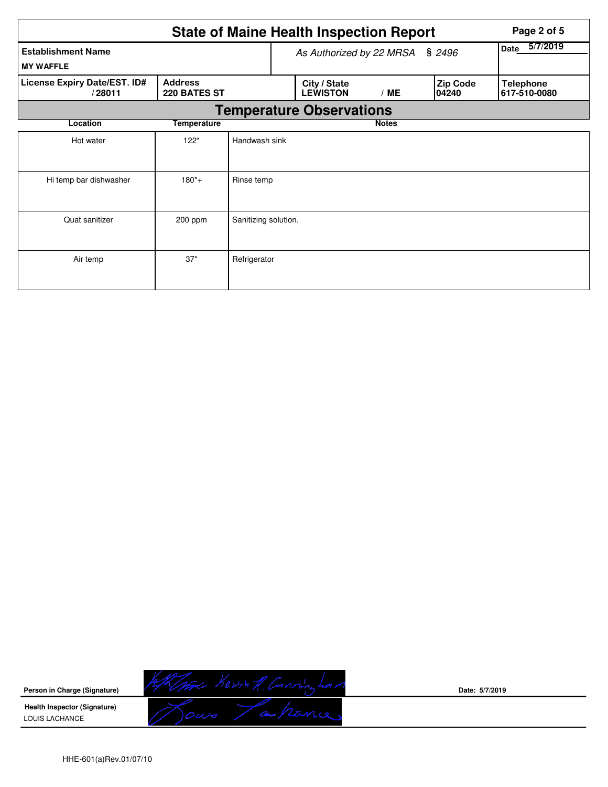|                                                                          | Page 2 of 5 |                                    |  |                                 |              |  |                           |                                  |
|--------------------------------------------------------------------------|-------------|------------------------------------|--|---------------------------------|--------------|--|---------------------------|----------------------------------|
| <b>Establishment Name</b><br><b>MY WAFFLE</b>                            |             | \$2496<br>As Authorized by 22 MRSA |  |                                 |              |  | 5/7/2019<br>Date          |                                  |
| License Expiry Date/EST. ID#<br><b>Address</b><br>220 BATES ST<br>/28011 |             |                                    |  | City / State<br><b>LEWISTON</b> | /ME          |  | <b>Zip Code</b><br>104240 | <b>Telephone</b><br>617-510-0080 |
|                                                                          |             |                                    |  | <b>Temperature Observations</b> |              |  |                           |                                  |
| Location                                                                 | Temperature |                                    |  |                                 | <b>Notes</b> |  |                           |                                  |
| Hot water                                                                | $122*$      | Handwash sink                      |  |                                 |              |  |                           |                                  |
| Hi temp bar dishwasher                                                   | $180^*+$    | Rinse temp                         |  |                                 |              |  |                           |                                  |
| Quat sanitizer                                                           | 200 ppm     | Sanitizing solution.               |  |                                 |              |  |                           |                                  |
| Air temp                                                                 | $37*$       | Refrigerator                       |  |                                 |              |  |                           |                                  |



**Date: 5/7/2019**

HHE-601(a)Rev.01/07/10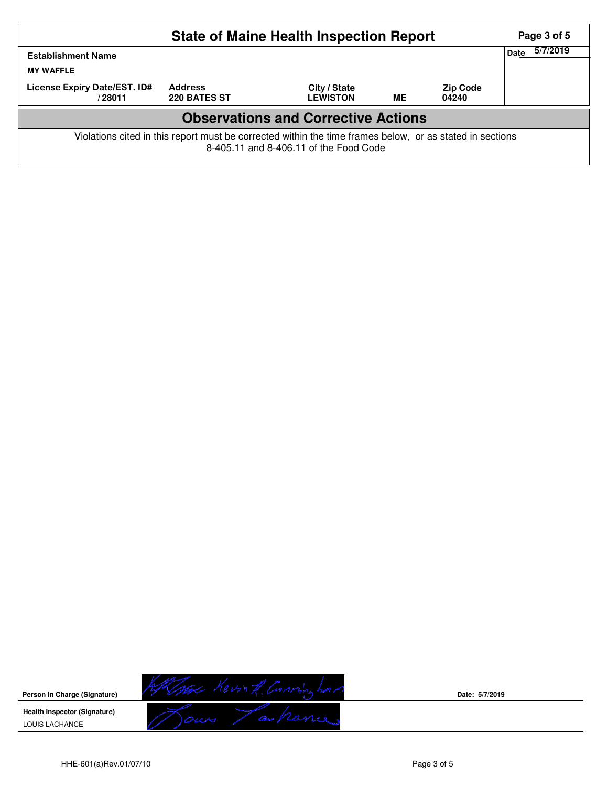| <b>State of Maine Health Inspection Report</b>                                                                                                     |                                       |                                 |           |                          |             |          |  |  |
|----------------------------------------------------------------------------------------------------------------------------------------------------|---------------------------------------|---------------------------------|-----------|--------------------------|-------------|----------|--|--|
| <b>Establishment Name</b><br><b>MY WAFFLE</b>                                                                                                      |                                       |                                 |           |                          | <b>Date</b> | 5/7/2019 |  |  |
| License Expiry Date/EST. ID#<br>/ 28011                                                                                                            | <b>Address</b><br><b>220 BATES ST</b> | City / State<br><b>LEWISTON</b> | <b>ME</b> | <b>Zip Code</b><br>04240 |             |          |  |  |
| <b>Observations and Corrective Actions</b>                                                                                                         |                                       |                                 |           |                          |             |          |  |  |
| Violations cited in this report must be corrected within the time frames below, or as stated in sections<br>8-405.11 and 8-406.11 of the Food Code |                                       |                                 |           |                          |             |          |  |  |

Kimme Kevin R. Conving had /z **Person in Charge (Signature) Health Inspector (Signature)**  LOUIS LACHANCE

**Date: 5/7/2019**

HHE-601(a)Rev.01/07/10 Page 3 of 5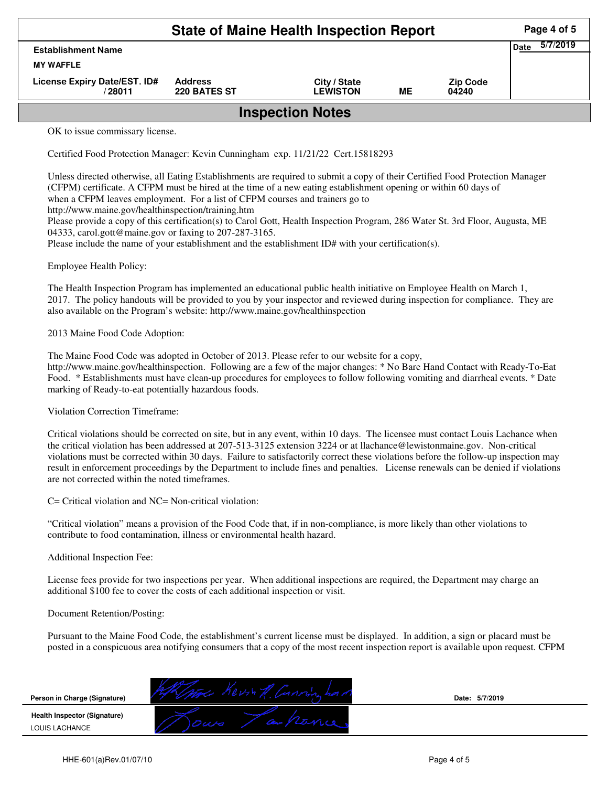|                                         |                                | Page 4 of 5                     |    |                          |  |  |  |
|-----------------------------------------|--------------------------------|---------------------------------|----|--------------------------|--|--|--|
| <b>Establishment Name</b>               | <b>Date</b>                    | 5/7/2019                        |    |                          |  |  |  |
| <b>MY WAFFLE</b>                        |                                |                                 |    |                          |  |  |  |
| License Expiry Date/EST. ID#<br>/ 28011 | <b>Address</b><br>220 BATES ST | City / State<br><b>LEWISTON</b> | ME | <b>Zip Code</b><br>04240 |  |  |  |
| <b>Inspection Notes</b>                 |                                |                                 |    |                          |  |  |  |

OK to issue commissary license.

Certified Food Protection Manager: Kevin Cunningham exp. 11/21/22 Cert.15818293

Unless directed otherwise, all Eating Establishments are required to submit a copy of their Certified Food Protection Manager (CFPM) certificate. A CFPM must be hired at the time of a new eating establishment opening or within 60 days of when a CFPM leaves employment. For a list of CFPM courses and trainers go to

http://www.maine.gov/healthinspection/training.htm

Please provide a copy of this certification(s) to Carol Gott, Health Inspection Program, 286 Water St. 3rd Floor, Augusta, ME 04333, carol.gott@maine.gov or faxing to 207-287-3165.

Please include the name of your establishment and the establishment ID# with your certification(s).

Employee Health Policy:

The Health Inspection Program has implemented an educational public health initiative on Employee Health on March 1, 2017. The policy handouts will be provided to you by your inspector and reviewed during inspection for compliance. They are also available on the Program's website: http://www.maine.gov/healthinspection

2013 Maine Food Code Adoption:

The Maine Food Code was adopted in October of 2013. Please refer to our website for a copy, http://www.maine.gov/healthinspection. Following are a few of the major changes: \* No Bare Hand Contact with Ready-To-Eat Food. \* Establishments must have clean-up procedures for employees to follow following vomiting and diarrheal events. \* Date marking of Ready-to-eat potentially hazardous foods.

Violation Correction Timeframe:

Critical violations should be corrected on site, but in any event, within 10 days. The licensee must contact Louis Lachance when the critical violation has been addressed at 207-513-3125 extension 3224 or at llachance@lewistonmaine.gov. Non-critical violations must be corrected within 30 days. Failure to satisfactorily correct these violations before the follow-up inspection may result in enforcement proceedings by the Department to include fines and penalties. License renewals can be denied if violations are not corrected within the noted timeframes.

C= Critical violation and NC= Non-critical violation:

"Critical violation" means a provision of the Food Code that, if in non-compliance, is more likely than other violations to contribute to food contamination, illness or environmental health hazard.

Additional Inspection Fee:

License fees provide for two inspections per year. When additional inspections are required, the Department may charge an additional \$100 fee to cover the costs of each additional inspection or visit.

## Document Retention/Posting:

Pursuant to the Maine Food Code, the establishment's current license must be displayed. In addition, a sign or placard must be posted in a conspicuous area notifying consumers that a copy of the most recent inspection report is available upon request. CFPM

| Person in Charge (Signature)                          | Date: 5/7/2019 |
|-------------------------------------------------------|----------------|
| <b>Health Inspector (Signature)</b><br>LOUIS LACHANCE |                |